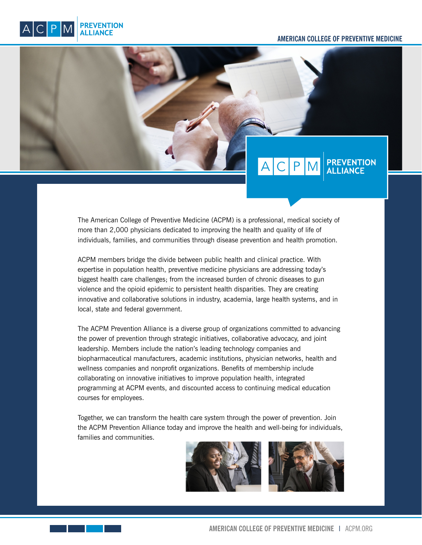#### **AMERICAN COLLEGE OF PREVENTIVE MEDICINE**



# $A|C|P$

The American College of Preventive Medicine (ACPM) is a professional, medical society of more than 2,000 physicians dedicated to improving the health and quality of life of individuals, families, and communities through disease prevention and health promotion.

ACPM members bridge the divide between public health and clinical practice. With expertise in population health, preventive medicine physicians are addressing today's biggest health care challenges; from the increased burden of chronic diseases to gun violence and the opioid epidemic to persistent health disparities. They are creating innovative and collaborative solutions in industry, academia, large health systems, and in local, state and federal government.

The ACPM Prevention Alliance is a diverse group of organizations committed to advancing the power of prevention through strategic initiatives, collaborative advocacy, and joint leadership. Members include the nation's leading technology companies and biopharmaceutical manufacturers, academic institutions, physician networks, health and wellness companies and nonprofit organizations. Benefits of membership include collaborating on innovative initiatives to improve population health, integrated programming at ACPM events, and discounted access to continuing medical education courses for employees.

Together, we can transform the health care system through the power of prevention. Join the ACPM Prevention Alliance today and improve the health and well-being for individuals, families and communities.

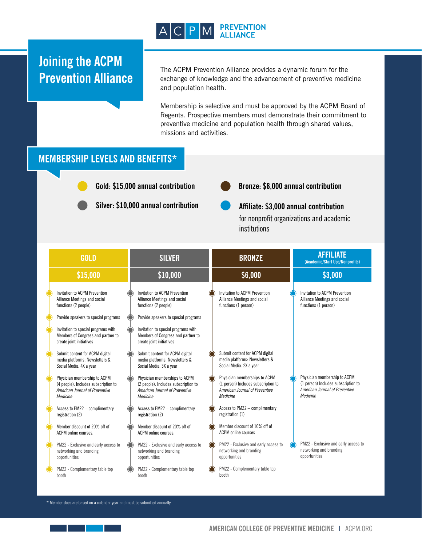

## **Joining the ACPM Prevention Alliance**

The ACPM Prevention Alliance provides a dynamic forum for the exchange of knowledge and the advancement of preventive medicine and population health.

Membership is selective and must be approved by the ACPM Board of Regents. Prospective members must demonstrate their commitment to preventive medicine and population health through shared values, missions and activities.

### **MEMBERSHIP LEVELS AND BENEFITS\***

**Gold: \$15,000 annual contribution**

**Silver: \$10,000 annual contribution**

**Bronze: \$6,000 annual contribution**

**Affiliate: \$3,000 annual contribution** for nonprofit organizations and academic institutions

| <b>GOLD</b>                                                                                                        | <b>SILVER</b>                                                                                                       | <b>BRONZE</b>                                                                                                      | <b>AFFILIATE</b><br>(Academic/Start Ups/Nonprofits)                                                               |
|--------------------------------------------------------------------------------------------------------------------|---------------------------------------------------------------------------------------------------------------------|--------------------------------------------------------------------------------------------------------------------|-------------------------------------------------------------------------------------------------------------------|
| \$15,000                                                                                                           | \$10,000                                                                                                            | \$6,000                                                                                                            | \$3,000                                                                                                           |
| Invitation to ACPM Prevention<br>Alliance Meetings and social<br>functions (2 people)                              | Invitation to ACPM Prevention<br>Alliance Meetings and social<br>functions (2 people)                               | Invitation to ACPM Prevention<br>Alliance Meetings and social<br>functions (1 person)                              | Invitation to ACPM Prevention<br>Alliance Meetings and social<br>functions (1 person)                             |
| Provide speakers to special programs                                                                               | Provide speakers to special programs                                                                                |                                                                                                                    |                                                                                                                   |
| Invitation to special programs with<br>Members of Congress and partner to<br>create joint initiatives              | Invitation to special programs with<br>Members of Congress and partner to<br>create joint initiatives               |                                                                                                                    |                                                                                                                   |
| Submit content for ACPM digital<br>media platforms: Newsletters &<br>Social Media. 4X a year                       | Submit content for ACPM digital<br>media platforms: Newsletters &<br>Social Media. 3X a year                        | Submit content for ACPM digital<br>media platforms: Newsletters &<br>Social Media. 2X a year                       |                                                                                                                   |
| Physician membership to ACPM<br>(4 people). Includes subscription to<br>American Journal of Preventive<br>Medicine | Physician memberships to ACPM<br>(2 people). Includes subscription to<br>American Journal of Preventive<br>Medicine | Physician memberships to ACPM<br>(1 person) Includes subscription to<br>American Journal of Preventive<br>Medicine | Physician membership to ACPM<br>(1 person) Includes subscription to<br>American Journal of Preventive<br>Medicine |
| Access to PM22 - complimentary<br>registration (2)                                                                 | Access to PM22 - complimentary<br>registration (2)                                                                  | Access to PM22 - complimentary<br>registration (1)                                                                 |                                                                                                                   |
| Member discount of 20% off of<br>ACPM online courses.                                                              | Member discount of 20% off of<br>ACPM online courses.                                                               | Member discount of 10% off of<br><b>ACPM</b> online courses                                                        |                                                                                                                   |
| PM22 - Exclusive and early access to<br>networking and branding<br>opportunities                                   | PM22 - Exclusive and early access to<br>networking and branding<br>opportunities                                    | PM22 - Exclusive and early access to<br>networking and branding<br>opportunities                                   | PM22 - Exclusive and early access to<br>networking and branding<br>opportunities                                  |
| PM22 - Complementary table top<br>booth                                                                            | PM22 - Complementary table top<br>booth                                                                             | PM22 - Complementary table top<br>booth                                                                            |                                                                                                                   |

\* Member dues are based on a calendar year and must be submitted annually.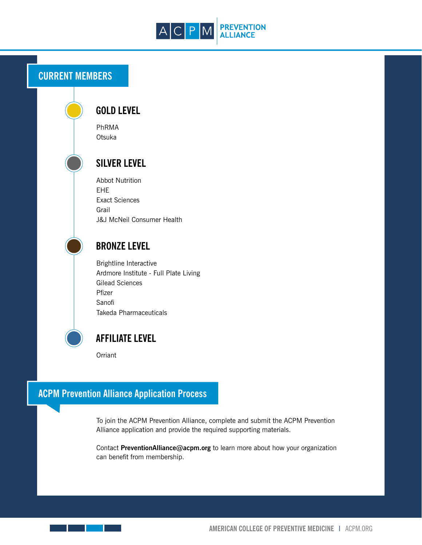

## **CURRENT MEMBERS**

### **Sanofi** Takeda Pharmaceuticals

Gilead Sciences

**BRONZE LEVEL**

Brightline Interactive

J&J McNeil Consumer Health

Ardmore Institute - Full Plate Living

**GOLD LEVEL**

PhRMA Otsuka

EHE

Grail

**SILVER LEVEL**

Abbot Nutrition

Exact Sciences



- 11

### **AFFILIATE LEVEL**

**Orriant** 

Pfizer

## **ACPM Prevention Alliance Application Process**

To join the ACPM Prevention Alliance, complete and submit the ACPM Prevention Alliance application and provide the required supporting materials.

Contact **PreventionAlliance@acpm.org** to learn more about how your organization can benefit from membership.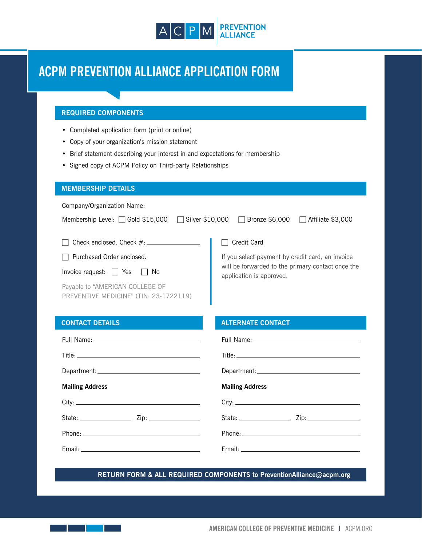

## **ACPM PREVENTION ALLIANCE APPLICATION FORM**

#### **REQUIRED COMPONENTS**

- Completed application form (print or online)
- Copy of your organization's mission statement
- Brief statement describing your interest in and expectations for membership
- Signed copy of ACPM Policy on Third-party Relationships

#### **MEMBERSHIP DETAILS**

Company/Organization Name:

| Membership Level: □ Gold \$15,000<br>$\Box$ Silver \$10,000               | $\Box$ Affiliate \$3,000<br>$\Box$ Bronze \$6,000                             |  |  |  |  |
|---------------------------------------------------------------------------|-------------------------------------------------------------------------------|--|--|--|--|
| $\Box$ Check enclosed. Check $\#$ : $\Box$                                | Credit Card                                                                   |  |  |  |  |
| $\Box$ Purchased Order enclosed.                                          | If you select payment by credit card, an invoice                              |  |  |  |  |
| Invoice request: $\Box$ Yes<br>IINo                                       | will be forwarded to the primary contact once the<br>application is approved. |  |  |  |  |
| Payable to "AMERICAN COLLEGE OF<br>PREVENTIVE MEDICINE" (TIN: 23-1722119) |                                                                               |  |  |  |  |

| <b>CONTACT DETAILS</b>                                                                                                                                                                                                         | <b>ALTERNATE CONTACT</b>                                                                                                                                                                                                       |  |  |  |
|--------------------------------------------------------------------------------------------------------------------------------------------------------------------------------------------------------------------------------|--------------------------------------------------------------------------------------------------------------------------------------------------------------------------------------------------------------------------------|--|--|--|
|                                                                                                                                                                                                                                |                                                                                                                                                                                                                                |  |  |  |
|                                                                                                                                                                                                                                |                                                                                                                                                                                                                                |  |  |  |
|                                                                                                                                                                                                                                |                                                                                                                                                                                                                                |  |  |  |
| <b>Mailing Address</b>                                                                                                                                                                                                         | <b>Mailing Address</b>                                                                                                                                                                                                         |  |  |  |
|                                                                                                                                                                                                                                |                                                                                                                                                                                                                                |  |  |  |
|                                                                                                                                                                                                                                |                                                                                                                                                                                                                                |  |  |  |
|                                                                                                                                                                                                                                |                                                                                                                                                                                                                                |  |  |  |
| Email: Email: All and the state of the state of the state of the state of the state of the state of the state of the state of the state of the state of the state of the state of the state of the state of the state of the s | Email: Email: All and the state of the state of the state of the state of the state of the state of the state of the state of the state of the state of the state of the state of the state of the state of the state of the s |  |  |  |
|                                                                                                                                                                                                                                |                                                                                                                                                                                                                                |  |  |  |

**RETURN FORM & ALL REQUIRED COMPONENTS to PreventionAlliance@acpm.org**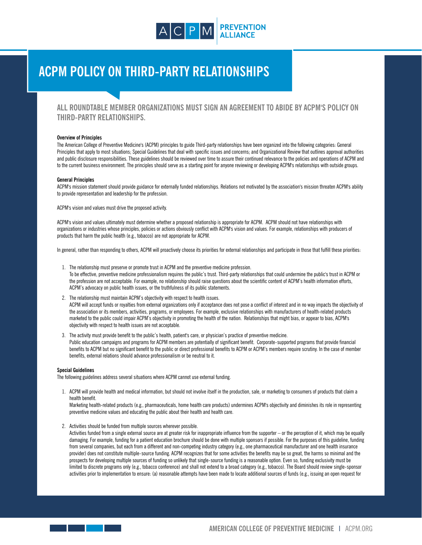

## **ACPM POLICY ON THIRD-PARTY RELATIONSHIPS**

### **ALL ROUNDTABLE MEMBER ORGANIZATIONS MUST SIGN AN AGREEMENT TO ABIDE BY ACPM'S POLICY ON THIRD-PARTY RELATIONSHIPS.**

#### **Overview of Principles**

The American College of Preventive Medicine's (ACPM) principles to guide Third-party relationships have been organized into the following categories: General Principles that apply to most situations; Special Guidelines that deal with specific issues and concerns; and Organizational Review that outlines approval authorities and public disclosure responsibilities. These guidelines should be reviewed over time to assure their continued relevance to the policies and operations of ACPM and to the current business environment. The principles should serve as a starting point for anyone reviewing or developing ACPM's relationships with outside groups.

#### **General Principles**

ACPM's mission statement should provide guidance for externally funded relationships. Relations not motivated by the association's mission threaten ACPM's ability to provide representation and leadership for the profession.

ACPM's vision and values must drive the proposed activity.

ACPM's vision and values ultimately must determine whether a proposed relationship is appropriate for ACPM. ACPM should not have relationships with organizations or industries whose principles, policies or actions obviously conflict with ACPM's vision and values. For example, relationships with producers of products that harm the public health (e.g., tobacco) are not appropriate for ACPM.

In general, rather than responding to others, ACPM will proactively choose its priorities for external relationships and participate in those that fulfill these priorities:

- 1. The relationship must preserve or promote trust in ACPM and the preventive medicine profession. To be effective, preventive medicine professionalism requires the public's trust. Third-party relationships that could undermine the public's trust in ACPM or the profession are not acceptable. For example, no relationship should raise questions about the scientific content of ACPM's health information efforts, ACPM's advocacy on public health issues, or the truthfulness of its public statements.
- 2. The relationship must maintain ACPM's objectivity with respect to health issues. ACPM will accept funds or royalties from external organizations only if acceptance does not pose a conflict of interest and in no way impacts the objectivity of the association or its members, activities, programs, or employees. For example, exclusive relationships with manufacturers of health-related products marketed to the public could impair ACPM's objectivity in promoting the health of the nation. Relationships that might bias, or appear to bias, ACPM's objectivity with respect to health issues are not acceptable.
- 3. The activity must provide benefit to the public's health, patient's care, or physician's practice of preventive medicine. Public education campaigns and programs for ACPM members are potentially of significant benefit. Corporate-supported programs that provide financial benefits to ACPM but no significant benefit to the public or direct professional benefits to ACPM or ACPM's members require scrutiny. In the case of member benefits, external relations should advance professionalism or be neutral to it.

#### **Special Guidelines**

and the state

The following guidelines address several situations where ACPM cannot use external funding.

1. ACPM will provide health and medical information, but should not involve itself in the production, sale, or marketing to consumers of products that claim a health benefit.

Marketing health-related products (e.g., pharmaceuticals, home health care products) undermines ACPM's objectivity and diminishes its role in representing preventive medicine values and educating the public about their health and health care.

2. Activities should be funded from multiple sources wherever possible.

Activities funded from a single external source are at greater risk for inappropriate influence from the supporter – or the perception of it, which may be equally damaging. For example, funding for a patient education brochure should be done with multiple sponsors if possible. For the purposes of this guideline, funding from several companies, but each from a different and non-competing industry category (e.g., one pharmaceutical manufacturer and one health insurance provider) does not constitute multiple-source funding. ACPM recognizes that for some activities the benefits may be so great, the harms so minimal and the prospects for developing multiple sources of funding so unlikely that single-source funding is a reasonable option. Even so, funding exclusivity must be limited to discrete programs only (e.g., tobacco conference) and shall not extend to a broad category (e.g., tobacco). The Board should review single-sponsor activities prior to implementation to ensure: (a) reasonable attempts have been made to locate additional sources of funds (e.g., issuing an open request for